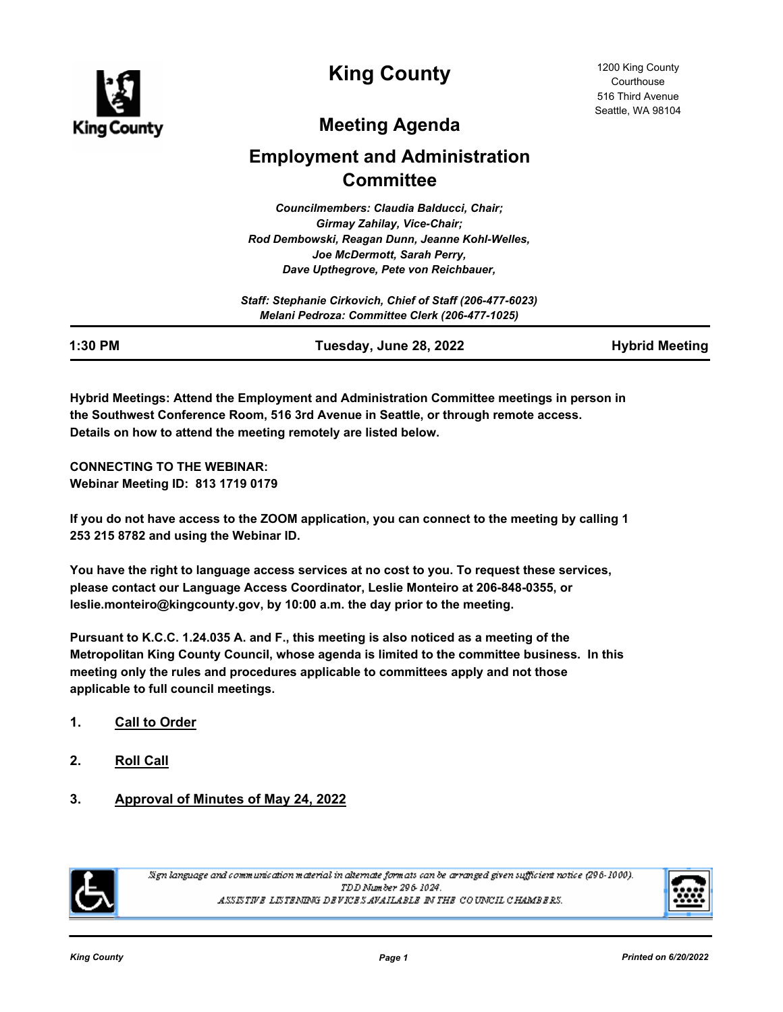

**King County**

# **Meeting Agenda**

# **Employment and Administration Committee**

*Councilmembers: Claudia Balducci, Chair; Girmay Zahilay, Vice-Chair; Rod Dembowski, Reagan Dunn, Jeanne Kohl-Welles, Joe McDermott, Sarah Perry, Dave Upthegrove, Pete von Reichbauer,* 

| Staff: Stephanie Cirkovich, Chief of Staff (206-477-6023) |
|-----------------------------------------------------------|
| Melani Pedroza: Committee Clerk (206-477-1025)            |

**1:30 PM Tuesday, June 28, 2022 Hybrid Meeting**

**Hybrid Meetings: Attend the Employment and Administration Committee meetings in person in the Southwest Conference Room, 516 3rd Avenue in Seattle, or through remote access. Details on how to attend the meeting remotely are listed below.**

**CONNECTING TO THE WEBINAR: Webinar Meeting ID: 813 1719 0179**

**If you do not have access to the ZOOM application, you can connect to the meeting by calling 1 253 215 8782 and using the Webinar ID.** 

**You have the right to language access services at no cost to you. To request these services, please contact our Language Access Coordinator, Leslie Monteiro at 206-848-0355, or leslie.monteiro@kingcounty.gov, by 10:00 a.m. the day prior to the meeting.**

**Pursuant to K.C.C. 1.24.035 A. and F., this meeting is also noticed as a meeting of the Metropolitan King County Council, whose agenda is limited to the committee business. In this meeting only the rules and procedures applicable to committees apply and not those applicable to full council meetings.**

- **1. Call to Order**
- **2. Roll Call**
- **3. Approval of Minutes of May 24, 2022**



Sign language and communication material in alternate formats can be arranged given sufficient notice (296-1000). TDD Number 296-1024. ASSISTIVE LISTENING DEVICES AVAILABLE IN THE COUNCIL CHAMBERS.

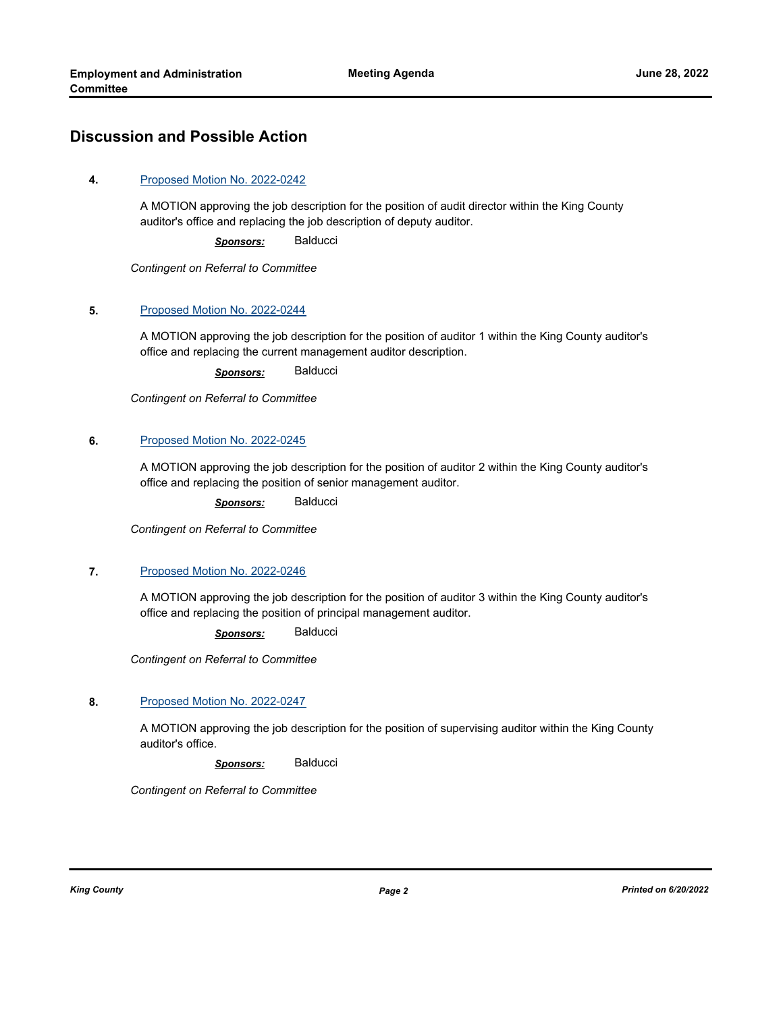## **Discussion and Possible Action**

#### **4.** [Proposed Motion No. 2022-0242](http://kingcounty.legistar.com/gateway.aspx?m=l&id=/matter.aspx?key=23205)

A MOTION approving the job description for the position of audit director within the King County auditor's office and replacing the job description of deputy auditor.

*Sponsors:* Balducci

*Contingent on Referral to Committee*

#### **5.** [Proposed Motion No. 2022-0244](http://kingcounty.legistar.com/gateway.aspx?m=l&id=/matter.aspx?key=23207)

A MOTION approving the job description for the position of auditor 1 within the King County auditor's office and replacing the current management auditor description.

*Sponsors:* Balducci

*Contingent on Referral to Committee*

#### **6.** [Proposed Motion No. 2022-0245](http://kingcounty.legistar.com/gateway.aspx?m=l&id=/matter.aspx?key=23208)

A MOTION approving the job description for the position of auditor 2 within the King County auditor's office and replacing the position of senior management auditor.

*Sponsors:* Balducci

*Contingent on Referral to Committee*

#### **7.** [Proposed Motion No. 2022-0246](http://kingcounty.legistar.com/gateway.aspx?m=l&id=/matter.aspx?key=23209)

A MOTION approving the job description for the position of auditor 3 within the King County auditor's office and replacing the position of principal management auditor.

*Sponsors:* Balducci

*Contingent on Referral to Committee*

#### **8.** [Proposed Motion No. 2022-0247](http://kingcounty.legistar.com/gateway.aspx?m=l&id=/matter.aspx?key=23210)

A MOTION approving the job description for the position of supervising auditor within the King County auditor's office.

*Sponsors:* Balducci

*Contingent on Referral to Committee*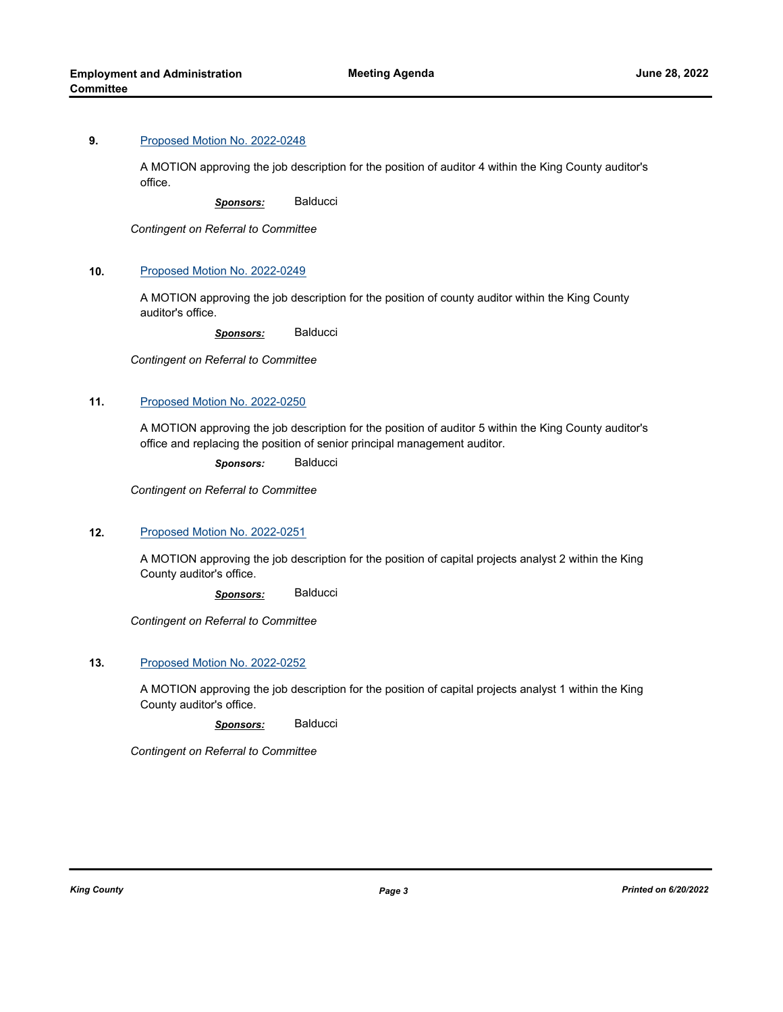#### **9.** [Proposed Motion No. 2022-0248](http://kingcounty.legistar.com/gateway.aspx?m=l&id=/matter.aspx?key=23211)

A MOTION approving the job description for the position of auditor 4 within the King County auditor's office.

*Sponsors:* Balducci

*Contingent on Referral to Committee*

#### **10.** [Proposed Motion No. 2022-0249](http://kingcounty.legistar.com/gateway.aspx?m=l&id=/matter.aspx?key=23212)

A MOTION approving the job description for the position of county auditor within the King County auditor's office.

*Sponsors:* Balducci

*Contingent on Referral to Committee*

#### **11.** [Proposed Motion No. 2022-0250](http://kingcounty.legistar.com/gateway.aspx?m=l&id=/matter.aspx?key=23213)

A MOTION approving the job description for the position of auditor 5 within the King County auditor's office and replacing the position of senior principal management auditor.

*Sponsors:* Balducci

*Contingent on Referral to Committee*

#### **12.** [Proposed Motion No. 2022-0251](http://kingcounty.legistar.com/gateway.aspx?m=l&id=/matter.aspx?key=23214)

A MOTION approving the job description for the position of capital projects analyst 2 within the King County auditor's office.

*Sponsors:* Balducci

*Contingent on Referral to Committee*

#### **13.** [Proposed Motion No. 2022-0252](http://kingcounty.legistar.com/gateway.aspx?m=l&id=/matter.aspx?key=23215)

A MOTION approving the job description for the position of capital projects analyst 1 within the King County auditor's office.

*Sponsors:* Balducci

*Contingent on Referral to Committee*